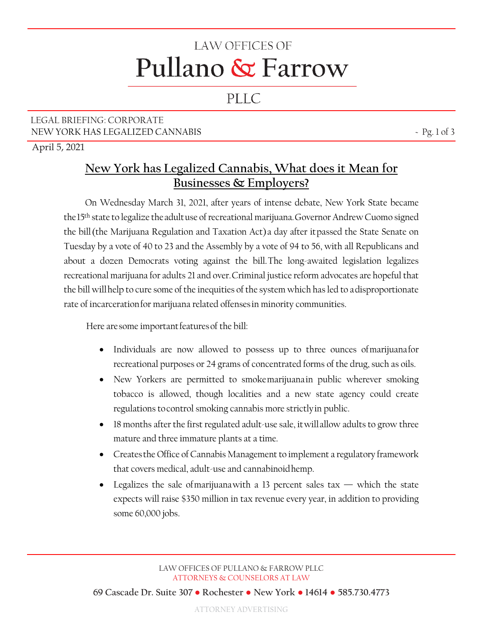# **LAW OFFICES OF** Pullano & Farrow

## PLLC

### LEGAL BRIEFING: CORPORATE NEW YORK HAS LEGALIZED CANNABIS  $\sim$  Pg. 1 of 3

April 5, 2021

## **New York has Legalized Cannabis, What does it Mean for Businesses & Employers?**

On Wednesday March 31, 2021, after years of intense debate, New York State became the15th state to legalize theadultuse of recreational marijuana.Governor Andrew Cuomo signed the bill(the Marijuana Regulation and Taxation Act)a day after itpassed the State Senate on Tuesday by a vote of 40 to 23 and the Assembly by a vote of 94 to 56, with all Republicans and about a dozen Democrats voting against the bill.The long-awaited legislation legalizes recreational marijuana for adults 21 and over.Criminal justice reform advocates are hopeful that the bill willhelp to cure some of the inequities of the system which has led to adisproportionate rate of incarcerationfor marijuana related offensesin minority communities.

Here are some important features of the bill:

- Individuals are now allowed to possess up to three ounces ofmarijuanafor recreational purposes or 24 grams of concentrated forms of the drug, such as oils.
- New Yorkers are permitted to smokemarijuanain public wherever smoking tobacco is allowed, though localities and a new state agency could create regulations tocontrol smoking cannabis more strictlyin public.
- 18 months after the first regulated adult-use sale, it will allow adults to grow three mature and three immature plants at a time.
- Createsthe Office of Cannabis Management to implement a regulatory framework that covers medical, adult-use and cannabinoidhemp.
- Legalizes the sale of marijuana with a 13 percent sales tax which the state expects will raise \$350 million in tax revenue every year, in addition to providing some 60,000 jobs.

**69 Cascade Dr. Suite 307 ● Rochester ● New York ● 14614 ● 585.730.4773** 

ATTORNEY ADVERTISING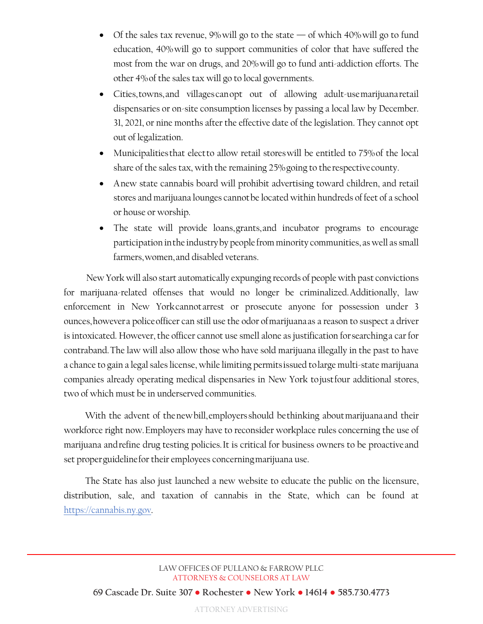- Of the sales tax revenue,  $9\%$  will go to the state of which  $40\%$  will go to fund education, 40%will go to support communities of color that have suffered the most from the war on drugs, and 20%will go to fund anti-addiction efforts. The other 4%of the sales tax will go to local governments.
- Cities,towns,and villagescanopt out of allowing adult-usemarijuanaretail dispensaries or on-site consumption licenses by passing a local law by December. 31, 2021, or nine months after the effective date of the legislation. They cannot opt out of legalization.
- Municipalitiesthat electto allow retail storeswill be entitled to 75%of the local share of the sales tax, with the remaining 25%going to therespectivecounty.
- Anew state cannabis board will prohibit advertising toward children, and retail stores and marijuana lounges cannotbe located within hundreds of feet of a school or house or worship.
- The state will provide loans,grants,and incubator programs to encourage participation inthe industryby people from minority communities, as well as small farmers,women,and disabled veterans.

New York will also start automatically expunging records of people with past convictions for marijuana-related offenses that would no longer be criminalized.Additionally, law enforcement in New Yorkcannotarrest or prosecute anyone for possession under 3 ounces,howevera policeofficer can still use the odor ofmarijuanaas a reason to suspect a driver is intoxicated. However, the officer cannot use smell alone as justification forsearchinga car for contraband.The law will also allow those who have sold marijuana illegally in the past to have a chance to gain a legal sales license, while limiting permitsissued tolarge multi-state marijuana companies already operating medical dispensaries in New York tojustfour additional stores, two of which must be in underserved communities.

With the advent of thenewbill,employersshould bethinking aboutmarijuanaand their workforce right now.Employers may have to reconsider workplace rules concerning the use of marijuana andrefine drug testing policies.It is critical for business owners to be proactiveand set properguidelinefor their employees concerningmarijuana use.

The State has also just launched a new website to educate the public on the licensure, distribution, sale, and taxation of cannabis in the State, which can be found at https://cannabis.ny.gov.

#### LAW OFFICES OF PULLANO & FARROW PLLC ATTORNEYS & COUNSELORS AT LAW

**69 Cascade Dr. Suite 307 ● Rochester ● New York ● 14614 ● 585.730.4773** 

ATTORNEY ADVERTISING